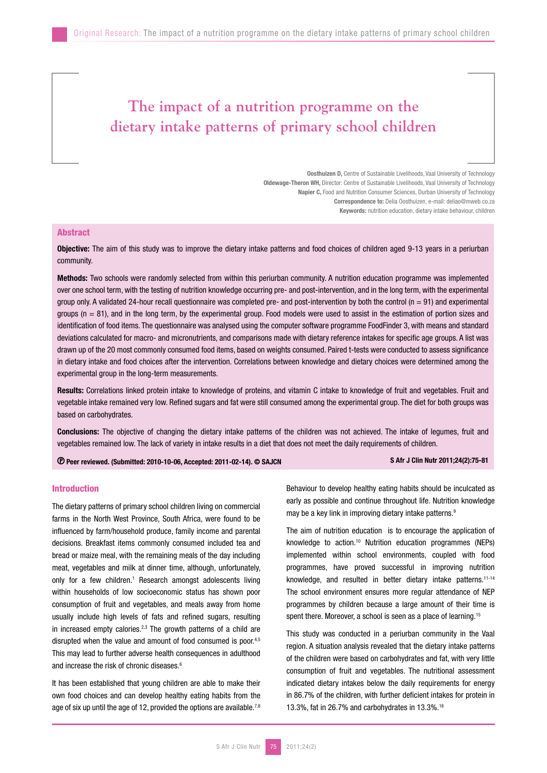# **The impact of a nutrition programme on the dietary intake patterns of primary school children**

Oosthuizen D, Centre of Sustainable Livelihoods, Vaal University of Technology Oldewage-Theron WH, Director: Centre of Sustainable Livelihoods, Vaal University of Technology Napier C, Food and Nutrition Consumer Sciences, Durban University of Technology Correspondence to: Delia Oosthuizen, e-mail: deliao@mweb.co.za Keywords: nutrition education, dietary intake behaviour, children

# Abstract

Objective: The aim of this study was to improve the dietary intake patterns and food choices of children aged 9-13 years in a periurban community.

Methods: Two schools were randomly selected from within this periurban community. A nutrition education programme was implemented over one school term, with the testing of nutrition knowledge occurring pre- and post-intervention, and in the long term, with the experimental group only. A validated 24-hour recall questionnaire was completed pre- and post-intervention by both the control  $(n = 91)$  and experimental groups  $(n = 81)$ , and in the long term, by the experimental group. Food models were used to assist in the estimation of portion sizes and identification of food items. The questionnaire was analysed using the computer software programme FoodFinder 3, with means and standard deviations calculated for macro- and micronutrients, and comparisons made with dietary reference intakes for specific age groups. A list was drawn up of the 20 most commonly consumed food items, based on weights consumed. Paired t-tests were conducted to assess significance in dietary intake and food choices after the intervention. Correlations between knowledge and dietary choices were determined among the experimental group in the long-term measurements.

Results: Correlations linked protein intake to knowledge of proteins, and vitamin C intake to knowledge of fruit and vegetables. Fruit and vegetable intake remained very low. Refined sugars and fat were still consumed among the experimental group. The diet for both groups was based on carbohydrates.

Conclusions: The objective of changing the dietary intake patterns of the children was not achieved. The intake of legumes, fruit and vegetables remained low. The lack of variety in intake results in a diet that does not meet the daily requirements of children.

Peer reviewed. (Submitted: 2010-10-06, Accepted: 2011-02-14). © SAJCN S Afr J Clin Nutr 2011;24(2):75-81

# Introduction

The dietary patterns of primary school children living on commercial farms in the North West Province, South Africa, were found to be influenced by farm/household produce, family income and parental decisions. Breakfast items commonly consumed included tea and bread or maize meal, with the remaining meals of the day including meat, vegetables and milk at dinner time, although, unfortunately, only for a few children.<sup>1</sup> Research amongst adolescents living within households of low socioeconomic status has shown poor consumption of fruit and vegetables, and meals away from home usually include high levels of fats and refined sugars, resulting in increased empty calories. $2,3$  The growth patterns of a child are disrupted when the value and amount of food consumed is poor.<sup>4,5</sup> This may lead to further adverse health consequences in adulthood and increase the risk of chronic diseases.<sup>6</sup>

It has been established that young children are able to make their own food choices and can develop healthy eating habits from the age of six up until the age of 12, provided the options are available.<sup>7,8</sup> Behaviour to develop healthy eating habits should be inculcated as early as possible and continue throughout life. Nutrition knowledge may be a key link in improving dietary intake patterns.<sup>9</sup>

The aim of nutrition education is to encourage the application of knowledge to action.10 Nutrition education programmes (NEPs) implemented within school environments, coupled with food programmes, have proved successful in improving nutrition knowledge, and resulted in better dietary intake patterns.<sup>11-14</sup> The school environment ensures more regular attendance of NEP programmes by children because a large amount of their time is spent there. Moreover, a school is seen as a place of learning.<sup>15</sup>

This study was conducted in a periurban community in the Vaal region. A situation analysis revealed that the dietary intake patterns of the children were based on carbohydrates and fat, with very little consumption of fruit and vegetables. The nutritional assessment indicated dietary intakes below the daily requirements for energy in 86.7% of the children, with further deficient intakes for protein in 13.3%, fat in 26.7% and carbohydrates in 13.3%.16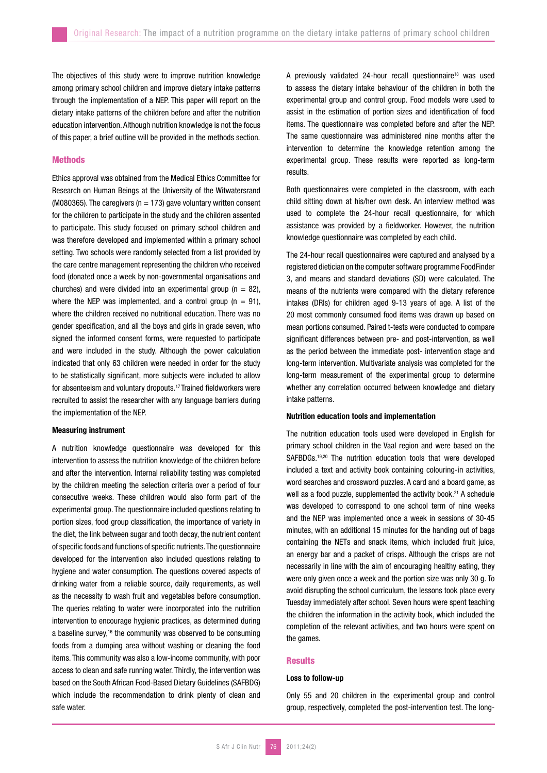The objectives of this study were to improve nutrition knowledge among primary school children and improve dietary intake patterns through the implementation of a NEP. This paper will report on the dietary intake patterns of the children before and after the nutrition education intervention. Although nutrition knowledge is not the focus of this paper, a brief outline will be provided in the methods section.

# **Methods**

Ethics approval was obtained from the Medical Ethics Committee for Research on Human Beings at the University of the Witwatersrand (M080365). The caregivers ( $n = 173$ ) gave voluntary written consent for the children to participate in the study and the children assented to participate. This study focused on primary school children and was therefore developed and implemented within a primary school setting. Two schools were randomly selected from a list provided by the care centre management representing the children who received food (donated once a week by non-governmental organisations and churches) and were divided into an experimental group ( $n = 82$ ). where the NEP was implemented, and a control group  $(n = 91)$ . where the children received no nutritional education. There was no gender specification, and all the boys and girls in grade seven, who signed the informed consent forms, were requested to participate and were included in the study. Although the power calculation indicated that only 63 children were needed in order for the study to be statistically significant, more subjects were included to allow for absenteeism and voluntary dropouts.17 Trained fieldworkers were recruited to assist the researcher with any language barriers during the implementation of the NEP.

### Measuring instrument

A nutrition knowledge questionnaire was developed for this intervention to assess the nutrition knowledge of the children before and after the intervention. Internal reliability testing was completed by the children meeting the selection criteria over a period of four consecutive weeks. These children would also form part of the experimental group. The questionnaire included questions relating to portion sizes, food group classification, the importance of variety in the diet, the link between sugar and tooth decay, the nutrient content of specific foods and functions of specific nutrients. The questionnaire developed for the intervention also included questions relating to hygiene and water consumption. The questions covered aspects of drinking water from a reliable source, daily requirements, as well as the necessity to wash fruit and vegetables before consumption. The queries relating to water were incorporated into the nutrition intervention to encourage hygienic practices, as determined during a baseline survey,<sup>16</sup> the community was observed to be consuming foods from a dumping area without washing or cleaning the food items. This community was also a low-income community, with poor access to clean and safe running water. Thirdly, the intervention was based on the South African Food-Based Dietary Guidelines (SAFBDG) which include the recommendation to drink plenty of clean and safe water.

A previously validated 24-hour recall questionnaire<sup>18</sup> was used to assess the dietary intake behaviour of the children in both the experimental group and control group. Food models were used to assist in the estimation of portion sizes and identification of food items. The questionnaire was completed before and after the NEP. The same questionnaire was administered nine months after the intervention to determine the knowledge retention among the experimental group. These results were reported as long-term results.

Both questionnaires were completed in the classroom, with each child sitting down at his/her own desk. An interview method was used to complete the 24-hour recall questionnaire, for which assistance was provided by a fieldworker. However, the nutrition knowledge questionnaire was completed by each child.

The 24-hour recall questionnaires were captured and analysed by a registered dietician on the computer software programme FoodFinder 3, and means and standard deviations (SD) were calculated. The means of the nutrients were compared with the dietary reference intakes (DRIs) for children aged 9-13 years of age. A list of the 20 most commonly consumed food items was drawn up based on mean portions consumed. Paired t-tests were conducted to compare significant differences between pre- and post-intervention, as well as the period between the immediate post- intervention stage and long-term intervention. Multivariate analysis was completed for the long-term measurement of the experimental group to determine whether any correlation occurred between knowledge and dietary intake patterns.

# Nutrition education tools and implementation

The nutrition education tools used were developed in English for primary school children in the Vaal region and were based on the SAFBDGs.19,20 The nutrition education tools that were developed included a text and activity book containing colouring-in activities, word searches and crossword puzzles. A card and a board game, as well as a food puzzle, supplemented the activity book.<sup>21</sup> A schedule was developed to correspond to one school term of nine weeks and the NEP was implemented once a week in sessions of 30-45 minutes, with an additional 15 minutes for the handing out of bags containing the NETs and snack items, which included fruit juice, an energy bar and a packet of crisps. Although the crisps are not necessarily in line with the aim of encouraging healthy eating, they were only given once a week and the portion size was only 30 g. To avoid disrupting the school curriculum, the lessons took place every Tuesday immediately after school. Seven hours were spent teaching the children the information in the activity book, which included the completion of the relevant activities, and two hours were spent on the games.

### **Results**

# Loss to follow-up

Only 55 and 20 children in the experimental group and control group, respectively, completed the post-intervention test. The long-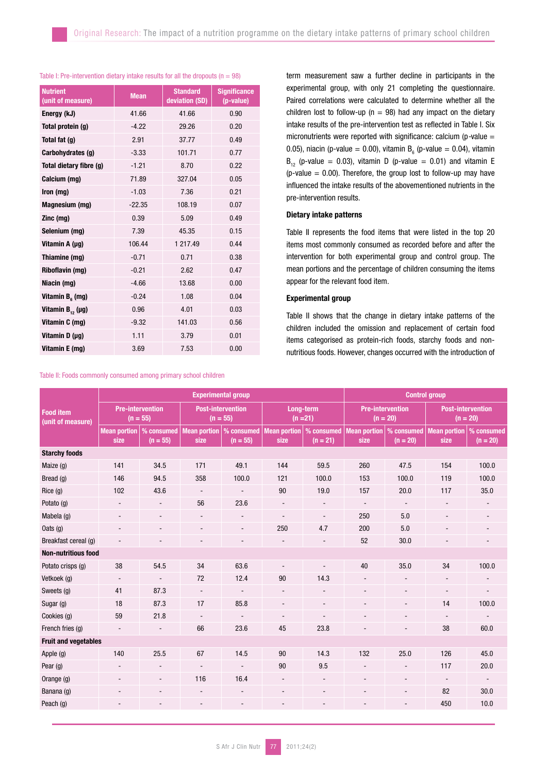# Table I: Pre-intervention dietary intake results for all the dropouts ( $n = 98$ )

| <b>Nutrient</b><br>(unit of measure) | <b>Mean</b> | <b>Standard</b><br>deviation (SD) | <b>Significance</b><br>(p-value) |  |
|--------------------------------------|-------------|-----------------------------------|----------------------------------|--|
| Energy (kJ)                          | 41.66       | 41.66                             | 0.90                             |  |
| Total protein (g)                    | $-4.22$     | 29.26                             | 0.20                             |  |
| Total fat (g)                        | 2.91        | 37.77                             | 0.49                             |  |
| Carbohydrates (g)                    | $-3.33$     | 101.71                            | 0.77                             |  |
| Total dietary fibre (g)              | $-1.21$     | 8.70                              | 0.22                             |  |
| Calcium (mg)                         | 71.89       | 327.04                            | 0.05                             |  |
| Iron (mg)                            | $-1.03$     | 7.36                              | 0.21                             |  |
| Magnesium (mg)                       | $-22.35$    | 108.19                            | 0.07                             |  |
| Zinc (mg)                            | 0.39        | 5.09                              | 0.49                             |  |
| Selenium (mg)                        | 7.39        | 45.35                             | 0.15                             |  |
| Vitamin A (µg)                       | 106.44      | 1 217.49                          | 0.44                             |  |
| Thiamine (mg)                        | $-0.71$     | 0.71                              | 0.38                             |  |
| Riboflavin (mg)                      | $-0.21$     | 2.62                              | 0.47                             |  |
| Niacin (mg)                          | $-4.66$     | 13.68                             | 0.00                             |  |
| Vitamin $B_{6}$ (mg)                 | $-0.24$     | 1.08                              | 0.04                             |  |
| Vitamin $B_{12}(\mu g)$              | 0.96        | 4.01                              | 0.03                             |  |
| Vitamin C (mg)                       | $-9.32$     | 141.03                            | 0.56                             |  |
| Vitamin D (µg)                       | 1.11        | 3.79                              | 0.01                             |  |
| Vitamin E (mg)                       | 3.69        | 7.53                              | 0.00                             |  |

Table II: Foods commonly consumed among primary school children

term measurement saw a further decline in participants in the experimental group, with only 21 completing the questionnaire. Paired correlations were calculated to determine whether all the children lost to follow-up ( $n = 98$ ) had any impact on the dietary intake results of the pre-intervention test as reflected in Table I. Six micronutrients were reported with significance: calcium (p*-*value = 0.05), niacin (p-value = 0.00), vitamin  $B_6$  (p-value = 0.04), vitamin  $B_{12}$  (p-value = 0.03), vitamin D (p-value = 0.01) and vitamin E (p-value  $= 0.00$ ). Therefore, the group lost to follow-up may have influenced the intake results of the abovementioned nutrients in the pre-intervention results.

# Dietary intake patterns

Table II represents the food items that were listed in the top 20 items most commonly consumed as recorded before and after the intervention for both experimental group and control group. The mean portions and the percentage of children consuming the items appear for the relevant food item.

# Experimental group

Table II shows that the change in dietary intake patterns of the children included the omission and replacement of certain food items categorised as protein-rich foods, starchy foods and nonnutritious foods. However, changes occurred with the introduction of

| <b>Food item</b><br>(unit of measure) | <b>Experimental group</b>             |                          |                                        |                              |                              |                          |                                       | <b>Control group</b>     |                                        |                          |  |
|---------------------------------------|---------------------------------------|--------------------------|----------------------------------------|------------------------------|------------------------------|--------------------------|---------------------------------------|--------------------------|----------------------------------------|--------------------------|--|
|                                       | <b>Pre-intervention</b><br>$(n = 55)$ |                          | <b>Post-intervention</b><br>$(n = 55)$ |                              | Long-term<br>$(n = 21)$      |                          | <b>Pre-intervention</b><br>$(n = 20)$ |                          | <b>Post-intervention</b><br>$(n = 20)$ |                          |  |
|                                       | <b>Mean portion</b><br>size           | % consumed<br>$(n = 55)$ | <b>Mean portion</b><br>size            | % consumed<br>$(n = 55)$     | <b>Mean portion</b><br>size  | % consumed<br>$(n = 21)$ | <b>Mean portion</b><br>size           | % consumed<br>$(n = 20)$ | <b>Mean portion</b><br>size            | % consumed<br>$(n = 20)$ |  |
| <b>Starchy foods</b>                  |                                       |                          |                                        |                              |                              |                          |                                       |                          |                                        |                          |  |
| Maize (g)                             | 141                                   | 34.5                     | 171                                    | 49.1                         | 144                          | 59.5                     | 260                                   | 47.5                     | 154                                    | 100.0                    |  |
| Bread (g)                             | 146                                   | 94.5                     | 358                                    | 100.0                        | 121                          | 100.0                    | 153                                   | 100.0                    | 119                                    | 100.0                    |  |
| Rice(g)                               | 102                                   | 43.6                     | $\overline{\phantom{a}}$               | $\qquad \qquad \blacksquare$ | 90                           | 19.0                     | 157                                   | 20.0                     | 117                                    | 35.0                     |  |
| Potato (g)                            | $\overline{\phantom{a}}$              | $\overline{a}$           | 56                                     | 23.6                         |                              | $\blacksquare$           | $\overline{\phantom{a}}$              |                          | $\overline{\phantom{a}}$               |                          |  |
| Mabela (g)                            | $\overline{\phantom{a}}$              | $\overline{\phantom{a}}$ |                                        | -                            | $\qquad \qquad \blacksquare$ | $\overline{\phantom{a}}$ | 250                                   | 5.0                      | $\overline{\phantom{a}}$               |                          |  |
| Oats $(q)$                            | $\overline{\phantom{a}}$              | $\overline{\phantom{a}}$ | $\overline{\phantom{0}}$               | $\overline{\phantom{a}}$     | 250                          | 4.7                      | 200                                   | 5.0                      | $\overline{\phantom{0}}$               |                          |  |
| Breakfast cereal (g)                  |                                       |                          |                                        | $\overline{a}$               |                              |                          | 52                                    | 30.0                     |                                        |                          |  |
| <b>Non-nutritious food</b>            |                                       |                          |                                        |                              |                              |                          |                                       |                          |                                        |                          |  |
| Potato crisps (g)                     | 38                                    | 54.5                     | 34                                     | 63.6                         | $\blacksquare$               | $\blacksquare$           | 40                                    | 35.0                     | 34                                     | 100.0                    |  |
| Vetkoek (q)                           | $\overline{\phantom{a}}$              | $\overline{\phantom{a}}$ | 72                                     | 12.4                         | 90                           | 14.3                     | $\overline{\phantom{a}}$              | $\overline{\phantom{0}}$ | $\overline{\phantom{a}}$               |                          |  |
| Sweets (g)                            | 41                                    | 87.3                     | $\overline{\phantom{a}}$               | $\qquad \qquad \blacksquare$ | $\overline{\phantom{0}}$     | $\overline{\phantom{a}}$ | $\blacksquare$                        | $\blacksquare$           | $\overline{\phantom{a}}$               | $\overline{\phantom{a}}$ |  |
| Sugar (g)                             | 18                                    | 87.3                     | 17                                     | 85.8                         | $\overline{\phantom{m}}$     | $\overline{\phantom{a}}$ |                                       | $\overline{\phantom{a}}$ | 14                                     | 100.0                    |  |
| Cookies (g)                           | 59                                    | 21.8                     |                                        | $\overline{\phantom{0}}$     | $\overline{\phantom{a}}$     |                          | $\overline{\phantom{a}}$              | $\overline{\phantom{a}}$ | $\overline{\phantom{a}}$               |                          |  |
| French fries (g)                      |                                       |                          | 66                                     | 23.6                         | 45                           | 23.8                     |                                       |                          | 38                                     | 60.0                     |  |
| <b>Fruit and vegetables</b>           |                                       |                          |                                        |                              |                              |                          |                                       |                          |                                        |                          |  |
| Apple (g)                             | 140                                   | 25.5                     | 67                                     | 14.5                         | 90                           | 14.3                     | 132                                   | 25.0                     | 126                                    | 45.0                     |  |
| Pear $(g)$                            | $\blacksquare$                        | $\overline{\phantom{a}}$ | $\qquad \qquad \blacksquare$           | $\overline{\phantom{a}}$     | 90                           | 9.5                      | $\overline{\phantom{a}}$              | $\overline{\phantom{a}}$ | 117                                    | 20.0                     |  |
| Orange $(q)$                          | $\overline{\phantom{a}}$              | $\overline{\phantom{m}}$ | 116                                    | 16.4                         | $\overline{\phantom{0}}$     | $\overline{\phantom{a}}$ | $\overline{\phantom{a}}$              | $\overline{\phantom{a}}$ | $\overline{\phantom{a}}$               | $\overline{\phantom{a}}$ |  |
| Banana (g)                            | ٠                                     | $\overline{\phantom{a}}$ | $\overline{\phantom{a}}$               | $\overline{\phantom{m}}$     | $\overline{\phantom{0}}$     | $\overline{\phantom{a}}$ | $\blacksquare$                        | $\blacksquare$           | 82                                     | 30.0                     |  |
| Peach (g)                             |                                       |                          |                                        | $\overline{\phantom{m}}$     |                              |                          |                                       |                          | 450                                    | 10.0                     |  |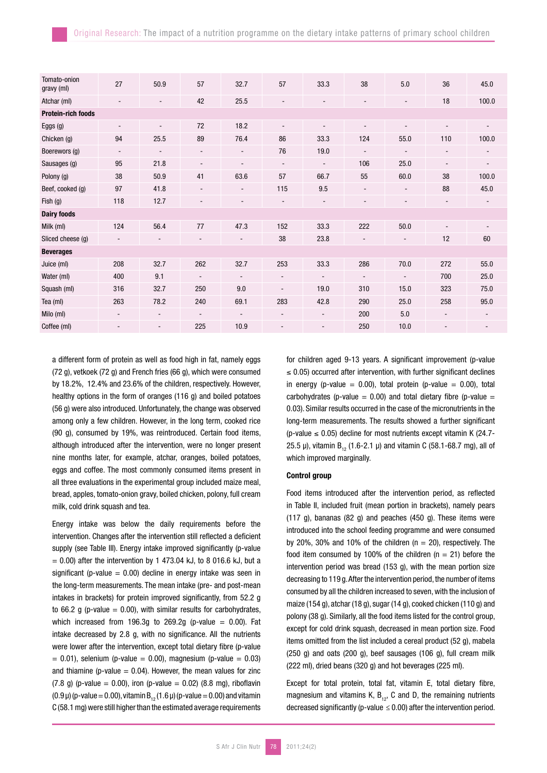| Tomato-onion<br>gravy (ml) | 27                       | 50.9                         | 57                       | 32.7                     | 57                       | 33.3                     | 38                       | 5.0                      | 36                       | 45.0                     |
|----------------------------|--------------------------|------------------------------|--------------------------|--------------------------|--------------------------|--------------------------|--------------------------|--------------------------|--------------------------|--------------------------|
| Atchar (ml)                |                          |                              | 42                       | 25.5                     | $\blacksquare$           |                          | $\blacksquare$           |                          | 18                       | 100.0                    |
| <b>Protein-rich foods</b>  |                          |                              |                          |                          |                          |                          |                          |                          |                          |                          |
| Eggs (g)                   | $\blacksquare$           | $\blacksquare$               | 72                       | 18.2                     | $\overline{\phantom{a}}$ |                          |                          |                          | $\overline{\phantom{m}}$ | $\overline{\phantom{a}}$ |
| Chicken (g)                | 94                       | 25.5                         | 89                       | 76.4                     | 86                       | 33.3                     | 124                      | 55.0                     | 110                      | 100.0                    |
| Boerewors (g)              | $\overline{\phantom{a}}$ | $\blacksquare$               | $\overline{\phantom{a}}$ | $\overline{\phantom{a}}$ | 76                       | 19.0                     | $\overline{\phantom{a}}$ | $\blacksquare$           | $\overline{\phantom{a}}$ | ۰.                       |
| Sausages (g)               | 95                       | 21.8                         | -                        | $\overline{\phantom{a}}$ | $\overline{\phantom{a}}$ | $\overline{\phantom{a}}$ | 106                      | 25.0                     | $\overline{\phantom{a}}$ | $\overline{\phantom{a}}$ |
| Polony (g)                 | 38                       | 50.9                         | 41                       | 63.6                     | 57                       | 66.7                     | 55                       | 60.0                     | 38                       | 100.0                    |
| Beef, cooked (g)           | 97                       | 41.8                         | $\overline{\phantom{a}}$ | $\overline{\phantom{a}}$ | 115                      | 9.5                      | $\overline{\phantom{a}}$ | $\overline{\phantom{a}}$ | 88                       | 45.0                     |
| Fish $(g)$                 | 118                      | 12.7                         | -                        | ٠                        |                          |                          |                          |                          | $\overline{\phantom{a}}$ |                          |
| <b>Dairy foods</b>         |                          |                              |                          |                          |                          |                          |                          |                          |                          |                          |
| Milk (ml)                  | 124                      | 56.4                         | 77                       | 47.3                     | 152                      | 33.3                     | 222                      | 50.0                     | $\overline{\phantom{a}}$ | $\overline{\phantom{a}}$ |
| Sliced cheese (g)          | $\overline{\phantom{a}}$ | $\blacksquare$               | ۰.                       | ٠                        | 38                       | 23.8                     | $\overline{\phantom{a}}$ | $\overline{\phantom{a}}$ | 12                       | 60                       |
| <b>Beverages</b>           |                          |                              |                          |                          |                          |                          |                          |                          |                          |                          |
| Juice (ml)                 | 208                      | 32.7                         | 262                      | 32.7                     | 253                      | 33.3                     | 286                      | 70.0                     | 272                      | 55.0                     |
| Water (ml)                 | 400                      | 9.1                          |                          | $\overline{\phantom{a}}$ | ۰.                       |                          | $\overline{\phantom{a}}$ | ٠                        | 700                      | 25.0                     |
| Squash (ml)                | 316                      | 32.7                         | 250                      | 9.0                      | $\overline{\phantom{a}}$ | 19.0                     | 310                      | 15.0                     | 323                      | 75.0                     |
| Tea (ml)                   | 263                      | 78.2                         | 240                      | 69.1                     | 283                      | 42.8                     | 290                      | 25.0                     | 258                      | 95.0                     |
| Milo (ml)                  | $\overline{\phantom{a}}$ | $\overline{\phantom{a}}$     | ٠                        | $\overline{\phantom{a}}$ | $\overline{\phantom{a}}$ | $\overline{\phantom{a}}$ | 200                      | 5.0                      | $\overline{\phantom{a}}$ | $\overline{\phantom{a}}$ |
| Coffee (ml)                |                          | $\qquad \qquad \blacksquare$ | 225                      | 10.9                     | $\overline{a}$           |                          | 250                      | 10.0                     |                          | $\overline{\phantom{a}}$ |

a different form of protein as well as food high in fat, namely eggs (72 g), vetkoek (72 g) and French fries (66 g), which were consumed by 18.2%, 12.4% and 23.6% of the children, respectively. However, healthy options in the form of oranges (116 g) and boiled potatoes (56 g) were also introduced. Unfortunately, the change was observed among only a few children. However, in the long term, cooked rice (90 g), consumed by 19%, was reintroduced. Certain food items, although introduced after the intervention, were no longer present nine months later, for example, atchar, oranges, boiled potatoes, eggs and coffee. The most commonly consumed items present in all three evaluations in the experimental group included maize meal, bread, apples, tomato-onion gravy, boiled chicken, polony, full cream milk, cold drink squash and tea.

Energy intake was below the daily requirements before the intervention. Changes after the intervention still reflected a deficient supply (see Table III). Energy intake improved significantly (p-value  $= 0.00$ ) after the intervention by 1 473.04 kJ, to 8 016.6 kJ, but a significant (p-value  $= 0.00$ ) decline in energy intake was seen in the long-term measurements. The mean intake (pre- and post-mean intakes in brackets) for protein improved significantly, from 52.2 g to 66.2 g (p-value  $= 0.00$ ), with similar results for carbohydrates, which increased from 196.3g to 269.2g (p-value  $= 0.00$ ). Fat intake decreased by 2.8 g, with no significance. All the nutrients were lower after the intervention, except total dietary fibre (p-value  $= 0.01$ ), selenium (p-value  $= 0.00$ ), magnesium (p-value  $= 0.03$ ) and thiamine (p-value  $= 0.04$ ). However, the mean values for zinc (7.8 g) (p-value = 0.00), iron (p-value = 0.02) (8.8 mg), riboflavin (0.9  $\mu$ ) (p-value = 0.00), vitamin B<sub>12</sub> (1.6  $\mu$ ) (p-value = 0.00) and vitamin C (58.1 mg) were still higher than the estimated average requirements

for children aged 9-13 years. A significant improvement (p-value  $\leq$  0.05) occurred after intervention, with further significant declines in energy (p-value  $= 0.00$ ), total protein (p-value  $= 0.00$ ), total carbohydrates (p-value =  $0.00$ ) and total dietary fibre (p-value = 0.03). Similar results occurred in the case of the micronutrients in the long-term measurements. The results showed a further significant (p-value  $\leq$  0.05) decline for most nutrients except vitamin K (24.7-25.5  $\mu$ ), vitamin B<sub>12</sub> (1.6-2.1  $\mu$ ) and vitamin C (58.1-68.7 mg), all of which improved marginally.

#### Control group

Food items introduced after the intervention period, as reflected in Table II, included fruit (mean portion in brackets), namely pears (117 g), bananas (82 g) and peaches (450 g). These items were introduced into the school feeding programme and were consumed by 20%, 30% and 10% of the children ( $n = 20$ ), respectively. The food item consumed by 100% of the children ( $n = 21$ ) before the intervention period was bread (153 g), with the mean portion size decreasing to 119 g. After the intervention period, the number of items consumed by all the children increased to seven, with the inclusion of maize (154 g), atchar (18 g), sugar (14 g), cooked chicken (110 g) and polony (38 g). Similarly, all the food items listed for the control group, except for cold drink squash, decreased in mean portion size. Food items omitted from the list included a cereal product (52 g), mabela (250 g) and oats (200 g), beef sausages (106 g), full cream milk (222 ml), dried beans (320 g) and hot beverages (225 ml).

Except for total protein, total fat, vitamin E, total dietary fibre, magnesium and vitamins K,  $B_{12}$ , C and D, the remaining nutrients decreased significantly (p-value *≤* 0.00) after the intervention period.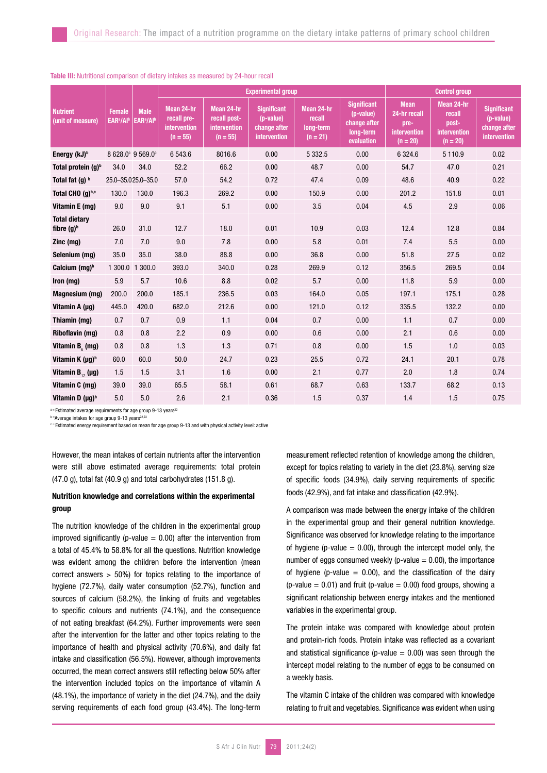|                                       | <b>Female</b><br>EAR <sup>a</sup> /Al <sup>b</sup> | <b>Male</b><br>EAR <sup>a</sup> /Alb |                                                         |                                                          | <b>Experimental group</b>                                       | <b>Control group</b>                            |                                                                            |                                                                   |                                                             |                                                                 |
|---------------------------------------|----------------------------------------------------|--------------------------------------|---------------------------------------------------------|----------------------------------------------------------|-----------------------------------------------------------------|-------------------------------------------------|----------------------------------------------------------------------------|-------------------------------------------------------------------|-------------------------------------------------------------|-----------------------------------------------------------------|
| <b>Nutrient</b><br>(unit of measure)  |                                                    |                                      | Mean 24-hr<br>recall pre-<br>intervention<br>$(n = 55)$ | Mean 24-hr<br>recall post-<br>intervention<br>$(n = 55)$ | <b>Significant</b><br>(p-value)<br>change after<br>intervention | Mean 24-hr<br>recall<br>long-term<br>$(n = 21)$ | <b>Significant</b><br>(p-value)<br>change after<br>long-term<br>evaluation | <b>Mean</b><br>24-hr recall<br>pre-<br>intervention<br>$(n = 20)$ | Mean 24-hr<br>recall<br>post-<br>intervention<br>$(n = 20)$ | <b>Significant</b><br>(p-value)<br>change after<br>intervention |
| Energy (kJ) <sup>b</sup>              |                                                    | 8 628.0° 9 569.0°                    | 6543.6                                                  | 8016.6                                                   | 0.00                                                            | 5 3 3 2.5                                       | 0.00                                                                       | 6 324.6                                                           | 5 110.9                                                     | 0.02                                                            |
| Total protein $(q)^b$                 | 34.0                                               | 34.0                                 | 52.2                                                    | 66.2                                                     | 0.00                                                            | 48.7                                            | 0.00                                                                       | 54.7                                                              | 47.0                                                        | 0.21                                                            |
| Total fat $(q)$ $\frac{b}{q}$         |                                                    | 25.0-35.025.0-35.0                   | 57.0                                                    | 54.2                                                     | 0.72                                                            | 47.4                                            | 0.09                                                                       | 48.6                                                              | 40.9                                                        | 0.22                                                            |
| Total CHO (q)b,c                      | 130.0                                              | 130.0                                | 196.3                                                   | 269.2                                                    | 0.00                                                            | 150.9                                           | 0.00                                                                       | 201.2                                                             | 151.8                                                       | 0.01                                                            |
| Vitamin E (mg)                        | 9.0                                                | 9.0                                  | 9.1                                                     | 5.1                                                      | 0.00                                                            | 3.5                                             | 0.04                                                                       | 4.5                                                               | 2.9                                                         | 0.06                                                            |
| <b>Total dietary</b><br>fibre $(g)^b$ | 26.0                                               | 31.0                                 | 12.7                                                    | 18.0                                                     | 0.01                                                            | 10.9                                            | 0.03                                                                       | 12.4                                                              | 12.8                                                        | 0.84                                                            |
| $Zinc$ (mg)                           | 7.0                                                | 7.0                                  | 9.0                                                     | 7.8                                                      | 0.00                                                            | 5.8                                             | 0.01                                                                       | 7.4                                                               | 5.5                                                         | 0.00                                                            |
| Selenium (mg)                         | 35.0                                               | 35.0                                 | 38.0                                                    | 88.8                                                     | 0.00                                                            | 36.8                                            | 0.00                                                                       | 51.8                                                              | 27.5                                                        | 0.02                                                            |
| Calcium (mg) <sup>b</sup>             | 1 300.0                                            | 1 300.0                              | 393.0                                                   | 340.0                                                    | 0.28                                                            | 269.9                                           | 0.12                                                                       | 356.5                                                             | 269.5                                                       | 0.04                                                            |
| Iron (mg)                             | 5.9                                                | 5.7                                  | 10.6                                                    | 8.8                                                      | 0.02                                                            | 5.7                                             | 0.00                                                                       | 11.8                                                              | 5.9                                                         | 0.00                                                            |
| Magnesium (mg)                        | 200.0                                              | 200.0                                | 185.1                                                   | 236.5                                                    | 0.03                                                            | 164.0                                           | 0.05                                                                       | 197.1                                                             | 175.1                                                       | 0.28                                                            |
| Vitamin A $(\mu g)$                   | 445.0                                              | 420.0                                | 682.0                                                   | 212.6                                                    | 0.00                                                            | 121.0                                           | 0.12                                                                       | 335.5                                                             | 132.2                                                       | 0.00                                                            |
| Thiamin (mg)                          | 0.7                                                | 0.7                                  | 0.9                                                     | 1.1                                                      | 0.04                                                            | 0.7                                             | 0.00                                                                       | 1.1                                                               | 0.7                                                         | 0.00                                                            |
| Riboflavin (mg)                       | 0.8                                                | 0.8                                  | 2.2                                                     | 0.9                                                      | 0.00                                                            | 0.6                                             | 0.00                                                                       | 2.1                                                               | 0.6                                                         | 0.00                                                            |
| Vitamin $B_{\alpha}$ (mg)             | 0.8                                                | 0.8                                  | 1.3                                                     | 1.3                                                      | 0.71                                                            | 0.8                                             | 0.00                                                                       | 1.5                                                               | 1.0                                                         | 0.03                                                            |
| Vitamin K (µg) <sup>b</sup>           | 60.0                                               | 60.0                                 | 50.0                                                    | 24.7                                                     | 0.23                                                            | 25.5                                            | 0.72                                                                       | 24.1                                                              | 20.1                                                        | 0.78                                                            |
| Vitamin $B_{12}(\mu g)$               | 1.5                                                | 1.5                                  | 3.1                                                     | 1.6                                                      | 0.00                                                            | 2.1                                             | 0.77                                                                       | 2.0                                                               | 1.8                                                         | 0.74                                                            |
| Vitamin C (mg)                        | 39.0                                               | 39.0                                 | 65.5                                                    | 58.1                                                     | 0.61                                                            | 68.7                                            | 0.63                                                                       | 133.7                                                             | 68.2                                                        | 0.13                                                            |
| Vitamin D $(\mu g)^b$                 | 5.0                                                | 5.0                                  | 2.6                                                     | 2.1                                                      | 0.36                                                            | 1.5                                             | 0.37                                                                       | 1.4                                                               | 1.5                                                         | 0.75                                                            |

#### Table III: Nutritional comparison of dietary intakes as measured by 24-hour recall

 $a =$  Estimated average requirements for age group 9-13 years<sup>22</sup>

**b** = Average intakes for age group 9-13 years<sup>22,</sup>

**CEST Entimated energy requirement based on mean for age group 9-13 and with physical activity level: active** 

However, the mean intakes of certain nutrients after the intervention were still above estimated average requirements: total protein  $(47.0 \text{ g})$ , total fat  $(40.9 \text{ g})$  and total carbohydrates  $(151.8 \text{ g})$ .

# Nutrition knowledge and correlations within the experimental group

The nutrition knowledge of the children in the experimental group improved significantly (p-value  $= 0.00$ ) after the intervention from a total of 45.4% to 58.8% for all the questions. Nutrition knowledge was evident among the children before the intervention (mean correct answers > 50%) for topics relating to the importance of hygiene (72.7%), daily water consumption (52.7%), function and sources of calcium (58.2%), the linking of fruits and vegetables to specific colours and nutrients (74.1%), and the consequence of not eating breakfast (64.2%). Further improvements were seen after the intervention for the latter and other topics relating to the importance of health and physical activity (70.6%), and daily fat intake and classification (56.5%). However, although improvements occurred, the mean correct answers still reflecting below 50% after the intervention included topics on the importance of vitamin A (48.1%), the importance of variety in the diet (24.7%), and the daily serving requirements of each food group (43.4%). The long-term

measurement reflected retention of knowledge among the children, except for topics relating to variety in the diet (23.8%), serving size of specific foods (34.9%), daily serving requirements of specific foods (42.9%), and fat intake and classification (42.9%).

A comparison was made between the energy intake of the children in the experimental group and their general nutrition knowledge. Significance was observed for knowledge relating to the importance of hygiene (p-value  $= 0.00$ ), through the intercept model only, the number of eggs consumed weekly (p-value  $= 0.00$ ), the importance of hygiene (p-value  $= 0.00$ ), and the classification of the dairy (p-value  $= 0.01$ ) and fruit (p-value  $= 0.00$ ) food groups, showing a significant relationship between energy intakes and the mentioned variables in the experimental group.

The protein intake was compared with knowledge about protein and protein-rich foods. Protein intake was reflected as a covariant and statistical significance (p-value  $= 0.00$ ) was seen through the intercept model relating to the number of eggs to be consumed on a weekly basis.

The vitamin C intake of the children was compared with knowledge relating to fruit and vegetables. Significance was evident when using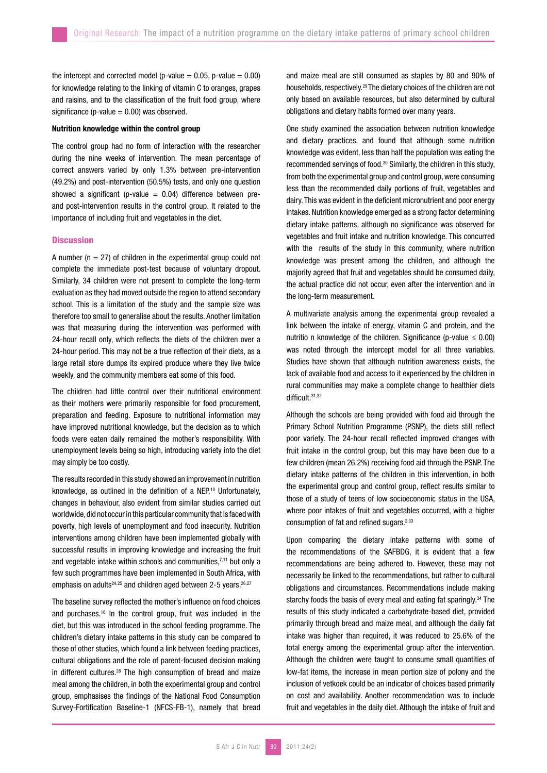the intercept and corrected model (p-value =  $0.05$ , p-value =  $0.00$ ) for knowledge relating to the linking of vitamin C to oranges, grapes and raisins, and to the classification of the fruit food group, where significance (p-value  $= 0.00$ ) was observed.

# Nutrition knowledge within the control group

The control group had no form of interaction with the researcher during the nine weeks of intervention. The mean percentage of correct answers varied by only 1.3% between pre-intervention (49.2%) and post-intervention (50.5%) tests, and only one question showed a significant (p-value  $= 0.04$ ) difference between preand post-intervention results in the control group. It related to the importance of including fruit and vegetables in the diet.

# **Discussion**

A number ( $n = 27$ ) of children in the experimental group could not complete the immediate post-test because of voluntary dropout. Similarly, 34 children were not present to complete the long-term evaluation as they had moved outside the region to attend secondary school. This is a limitation of the study and the sample size was therefore too small to generalise about the results. Another limitation was that measuring during the intervention was performed with 24-hour recall only, which reflects the diets of the children over a 24-hour period. This may not be a true reflection of their diets, as a large retail store dumps its expired produce where they live twice weekly, and the community members eat some of this food.

The children had little control over their nutritional environment as their mothers were primarily responsible for food procurement, preparation and feeding. Exposure to nutritional information may have improved nutritional knowledge, but the decision as to which foods were eaten daily remained the mother's responsibility. With unemployment levels being so high, introducing variety into the diet may simply be too costly.

The results recorded in this study showed an improvement in nutrition knowledge, as outlined in the definition of a NEP.10 Unfortunately, changes in behaviour, also evident from similar studies carried out worldwide, did not occur in this particular community that is faced with poverty, high levels of unemployment and food insecurity. Nutrition interventions among children have been implemented globally with successful results in improving knowledge and increasing the fruit and vegetable intake within schools and communities,<sup>7,11</sup> but only a few such programmes have been implemented in South Africa, with emphasis on adults<sup>24,25</sup> and children aged between 2-5 years.<sup>26,27</sup>

The baseline survey reflected the mother's influence on food choices and purchases.<sup>16</sup> In the control group, fruit was included in the diet, but this was introduced in the school feeding programme. The children's dietary intake patterns in this study can be compared to those of other studies, which found a link between feeding practices, cultural obligations and the role of parent-focused decision making in different cultures.<sup>28</sup> The high consumption of bread and maize meal among the children, in both the experimental group and control group, emphasises the findings of the National Food Consumption Survey-Fortification Baseline-1 (NFCS-FB-1), namely that bread

and maize meal are still consumed as staples by 80 and 90% of households, respectively.29 The dietary choices of the children are not only based on available resources, but also determined by cultural obligations and dietary habits formed over many years.

One study examined the association between nutrition knowledge and dietary practices, and found that although some nutrition knowledge was evident, less than half the population was eating the recommended servings of food.30 Similarly, the children in this study, from both the experimental group and control group, were consuming less than the recommended daily portions of fruit, vegetables and dairy. This was evident in the deficient micronutrient and poor energy intakes. Nutrition knowledge emerged as a strong factor determining dietary intake patterns, although no significance was observed for vegetables and fruit intake and nutrition knowledge. This concurred with the results of the study in this community, where nutrition knowledge was present among the children, and although the majority agreed that fruit and vegetables should be consumed daily, the actual practice did not occur, even after the intervention and in the long-term measurement.

A multivariate analysis among the experimental group revealed a link between the intake of energy, vitamin C and protein, and the nutritio n knowledge of the children. Significance (p-value *≤* 0.00) was noted through the intercept model for all three variables. Studies have shown that although nutrition awareness exists, the lack of available food and access to it experienced by the children in rural communities may make a complete change to healthier diets difficult.31,32

Although the schools are being provided with food aid through the Primary School Nutrition Programme (PSNP), the diets still reflect poor variety. The 24-hour recall reflected improved changes with fruit intake in the control group, but this may have been due to a few children (mean 26.2%) receiving food aid through the PSNP. The dietary intake patterns of the children in this intervention, in both the experimental group and control group, reflect results similar to those of a study of teens of low socioeconomic status in the USA, where poor intakes of fruit and vegetables occurred, with a higher consumption of fat and refined sugars.2,33

Upon comparing the dietary intake patterns with some of the recommendations of the SAFBDG, it is evident that a few recommendations are being adhered to. However, these may not necessarily be linked to the recommendations, but rather to cultural obligations and circumstances. Recommendations include making starchy foods the basis of every meal and eating fat sparingly.<sup>34</sup> The results of this study indicated a carbohydrate-based diet, provided primarily through bread and maize meal, and although the daily fat intake was higher than required, it was reduced to 25.6% of the total energy among the experimental group after the intervention. Although the children were taught to consume small quantities of low-fat items, the increase in mean portion size of polony and the inclusion of vetkoek could be an indicator of choices based primarily on cost and availability. Another recommendation was to include fruit and vegetables in the daily diet. Although the intake of fruit and